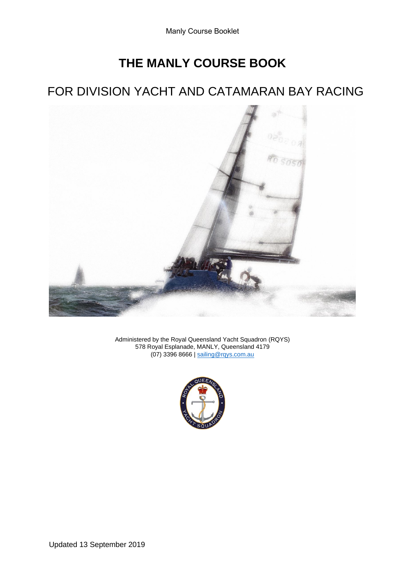# **THE MANLY COURSE BOOK**

## FOR DIVISION YACHT AND CATAMARAN BAY RACING



Administered by the Royal Queensland Yacht Squadron (RQYS) 578 Royal Esplanade, MANLY, Queensland 4179 (07) 3396 8666 | [sailing@rqys.com.au](mailto:sailing@rqys.com.au)

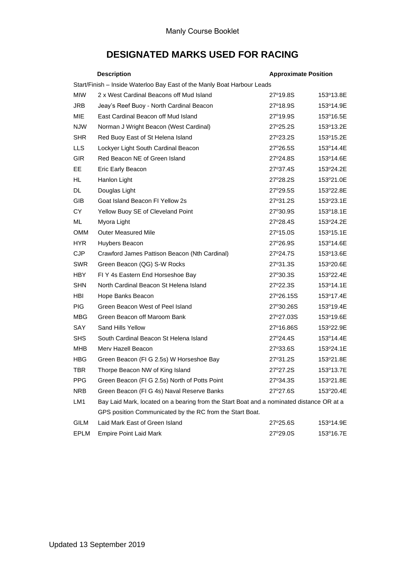### **DESIGNATED MARKS USED FOR RACING**

|                                                                         | <b>Description</b>                                                                       | <b>Approximate Position</b> |           |  |
|-------------------------------------------------------------------------|------------------------------------------------------------------------------------------|-----------------------------|-----------|--|
| Start/Finish - Inside Waterloo Bay East of the Manly Boat Harbour Leads |                                                                                          |                             |           |  |
| <b>MIW</b>                                                              | 2 x West Cardinal Beacons off Mud Island                                                 | 27°19.8S                    | 153°13.8E |  |
| <b>JRB</b>                                                              | Jeay's Reef Buoy - North Cardinal Beacon                                                 | 27°18.9S                    | 153°14.9E |  |
| MIE                                                                     | East Cardinal Beacon off Mud Island                                                      | 27°19.9S                    | 153°16.5E |  |
| <b>NJW</b>                                                              | Norman J Wright Beacon (West Cardinal)                                                   | 27°25.2S                    | 153°13.2E |  |
| <b>SHR</b>                                                              | Red Buoy East of St Helena Island                                                        | 27°23.2S                    | 153°15.2E |  |
| <b>LLS</b>                                                              | Lockyer Light South Cardinal Beacon                                                      | 27°26.5S                    | 153°14.4E |  |
| <b>GIR</b>                                                              | Red Beacon NE of Green Island                                                            | 27°24.8S                    | 153°14.6E |  |
| EЕ                                                                      | Eric Early Beacon                                                                        | 27°37.4S                    | 153°24.2E |  |
| HL.                                                                     | Hanlon Light                                                                             | 27°28.2S                    | 153°21.0E |  |
| <b>DL</b>                                                               | Douglas Light                                                                            | 27°29.5S                    | 153°22.8E |  |
| GIB                                                                     | Goat Island Beacon FI Yellow 2s                                                          | 27°31.2S                    | 153°23.1E |  |
| CY                                                                      | Yellow Buoy SE of Cleveland Point                                                        | 27°30.9S                    | 153°18.1E |  |
| ML                                                                      | Myora Light                                                                              | 27°28.4S                    | 153°24.2E |  |
| <b>OMM</b>                                                              | <b>Outer Measured Mile</b>                                                               | 27°15.0S                    | 153°15.1E |  |
| HYR.                                                                    | Huybers Beacon                                                                           | 27°26.9S                    | 153°14.6E |  |
| <b>CJP</b>                                                              | Crawford James Pattison Beacon (Nth Cardinal)                                            | 27°24.7S                    | 153°13.6E |  |
| <b>SWR</b>                                                              | Green Beacon (QG) S-W Rocks                                                              | 27°31.3S                    | 153°20.6E |  |
| <b>HBY</b>                                                              | FIY 4s Eastern End Horseshoe Bay                                                         | 27°30.3S                    | 153°22.4E |  |
| <b>SHN</b>                                                              | North Cardinal Beacon St Helena Island                                                   | 27°22.3S                    | 153°14.1E |  |
| <b>HBI</b>                                                              | Hope Banks Beacon                                                                        | 27°26.15S                   | 153°17.4E |  |
| <b>PIG</b>                                                              | Green Beacon West of Peel Island                                                         | 27°30.26S                   | 153°19.4E |  |
| MBG                                                                     | Green Beacon off Maroom Bank                                                             | 27°27.03S                   | 153°19.6E |  |
| <b>SAY</b>                                                              | Sand Hills Yellow                                                                        | 27°16.86S                   | 153°22.9E |  |
| <b>SHS</b>                                                              | South Cardinal Beacon St Helena Island                                                   | 27°24.4S                    | 153°14.4E |  |
| MHB                                                                     | Merv Hazell Beacon                                                                       | 27°33.6S                    | 153°24.1E |  |
| <b>HBG</b>                                                              | Green Beacon (FI G 2.5s) W Horseshoe Bay                                                 | 27°31.2S                    | 153°21.8E |  |
| TBR                                                                     | Thorpe Beacon NW of King Island                                                          | 27°27.2S                    | 153°13.7E |  |
| <b>PPG</b>                                                              | Green Beacon (FI G 2.5s) North of Potts Point                                            | 27°34.3S                    | 153°21.8E |  |
| <b>NRB</b>                                                              | Green Beacon (FI G 4s) Naval Reserve Banks                                               | 27°27.6S                    | 153°20.4E |  |
| LM1                                                                     | Bay Laid Mark, located on a bearing from the Start Boat and a nominated distance OR at a |                             |           |  |
|                                                                         | GPS position Communicated by the RC from the Start Boat.                                 |                             |           |  |
| <b>GILM</b>                                                             | Laid Mark East of Green Island                                                           | 27°25.6S                    | 153°14.9E |  |
| <b>EPLM</b>                                                             | <b>Empire Point Laid Mark</b>                                                            | 27°29.0S                    | 153°16.7E |  |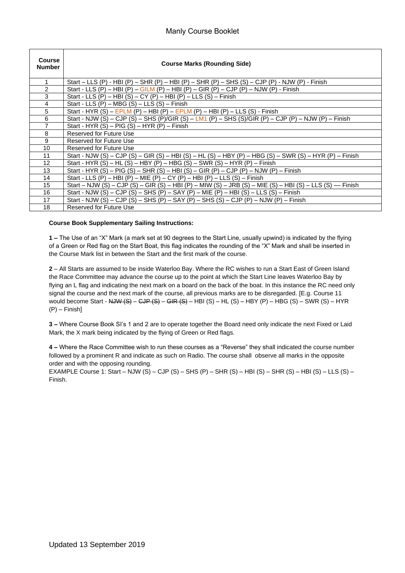| Course<br><b>Number</b> | <b>Course Marks (Rounding Side)</b>                                                                      |
|-------------------------|----------------------------------------------------------------------------------------------------------|
| 1                       | Start – LLS (P) - HBI (P) – SHR (P) – HBI (P) – SHR (P) – SHS (S) – CJP (P) - NJW (P) - Finish           |
| $\overline{2}$          | Start - LLS (P) – HBI (P) – GILM (P) – HBI (P) – GIR (P) – CJP (P) – NJW (P) - Finish                    |
| 3                       | Start - LLS (P) – HBI (S) – CY (P) – HBI (P) – LLS (S) – Finish                                          |
| $\overline{4}$          | Start - LLS $(P)$ – MBG $(S)$ – LLS $(S)$ – Finish                                                       |
| 5                       | Start - HYR (S) – EPLM (P) – HBI (P) – EPLM (P) – HBI (P) – LLS (S) - Finish                             |
| 6                       | Start - NJW (S) - CJP (S) - SHS (P)/GIR (S) - LM1 (P) - SHS (S)/GIR (P) - CJP (P) - NJW (P) - Finish     |
| 7                       | Start - HYR $(S)$ – PIG $(S)$ – HYR $(P)$ – Finish                                                       |
| 8                       | Reserved for Future Use                                                                                  |
| 9                       | Reserved for Future Use                                                                                  |
| 10                      | Reserved for Future Use                                                                                  |
| 11                      | Start - NJW (S) – CJP (S) – GIR (S) – HBI (S) – HL (S) – HBY (P) – HBG (S) – SWR (S) – HYR (P) – Finish  |
| 12                      | Start - HYR (S) – HL (S) – HBY (P) – HBG (S) – SWR (S) – HYR (P) – Finish                                |
| 13                      | Start - HYR (S) – PIG (S) – SHR (S) – HBI (S) – GIR (P) – CJP (P) – NJW (P) – Finish                     |
| 14                      | Start - LLS (P) – HBI (P) – MIE (P) – CY (P) – HBI (P) – LLS (S) – Finish                                |
| 15 <sup>15</sup>        | Start – NJW (S) – CJP (S) – GIR (S) – HBI (P) – MIW (S) – JRB (S) – MIE (S) – HBI (S) – LLS (S) — Finish |
| 16                      | Start - NJW (S) – CJP (S) – SHS (P) – SAY (P) – MIE (P) – HBI (S) – LLS (S) – Finish                     |
| 17                      | Start - NJW (S) – CJP (S) – SHS (P) – SAY (P) – SHS (S) – CJP (P) – NJW (P) – Finish                     |
| 18                      | Reserved for Future Use                                                                                  |

#### **Course Book Supplementary Sailing Instructions:**

**1 –** The Use of an "X" Mark (a mark set at 90 degrees to the Start Line, usually upwind) is indicated by the flying of a Green or Red flag on the Start Boat, this flag indicates the rounding of the "X" Mark and shall be inserted in the Course Mark list in between the Start and the first mark of the course.

**2** – All Starts are assumed to be inside Waterloo Bay. Where the RC wishes to run a Start East of Green Island the Race Committee may advance the course up to the point at which the Start Line leaves Waterloo Bay by flying an L flag and indicating the next mark on a board on the back of the boat. In this instance the RC need only signal the course and the next mark of the course, all previous marks are to be disregarded. [E.g. Course 11 would become Start -  $\frac{N}{N}$  (S) – CJP (S) – GIR (S) – HBI (S) – HL (S) – HBY (P) – HBG (S) – SWR (S) – HYR (P) – Finish]

**3 –** Where Course Book SI's 1 and 2 are to operate together the Board need only indicate the next Fixed or Laid Mark, the X mark being indicated by the flying of Green or Red flags.

**4 –** Where the Race Committee wish to run these courses as a "Reverse" they shall indicated the course number followed by a prominent R and indicate as such on Radio. The course shall observe all marks in the opposite order and with the opposing rounding.

EXAMPLE Course 1: Start – NJW (S) – CJP (S) – SHS (P) – SHR (S) – HBI (S) – SHR (S) – HBI (S) – LLS (S) – Finish.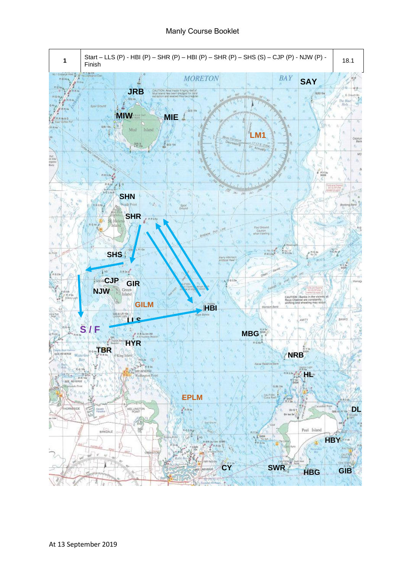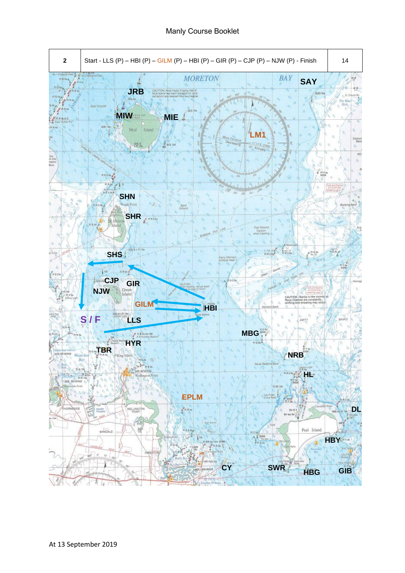Manly Course Booklet

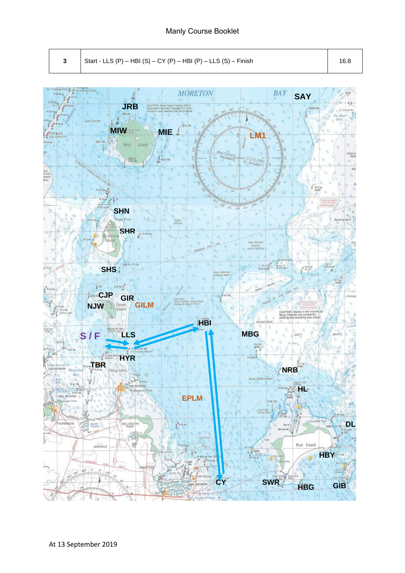**3** Start - LLS (P) – HBI (S) – CY (P) – HBI (P) – LLS (S) – Finish 16.8

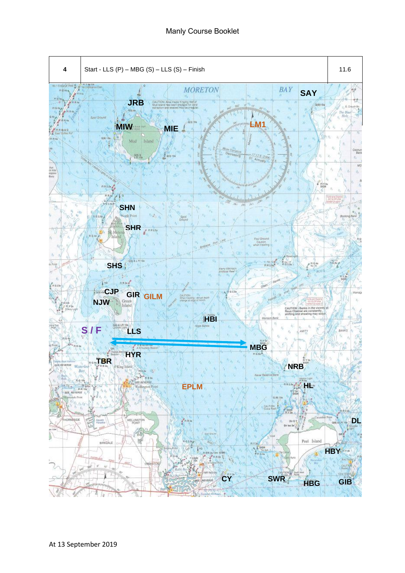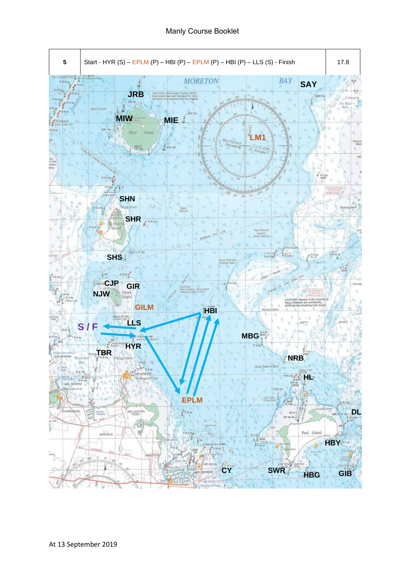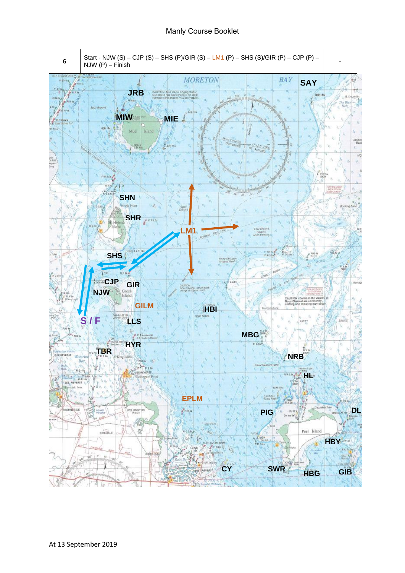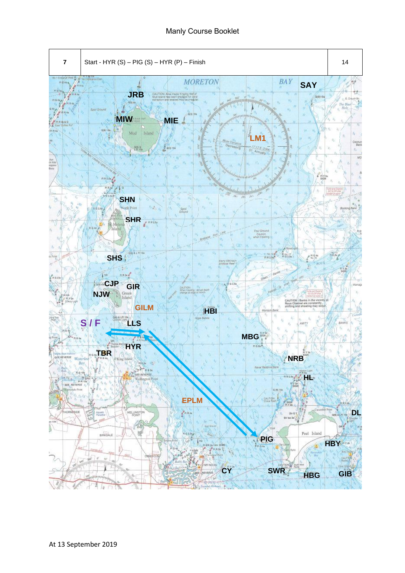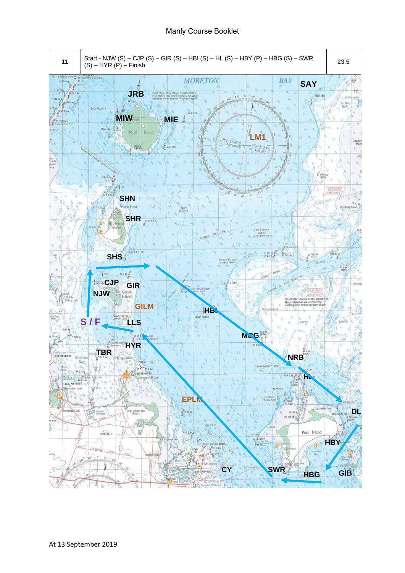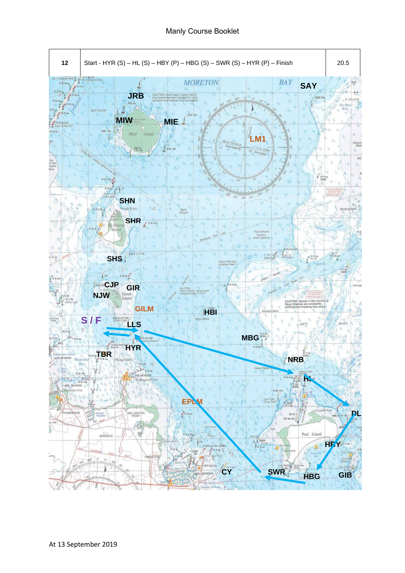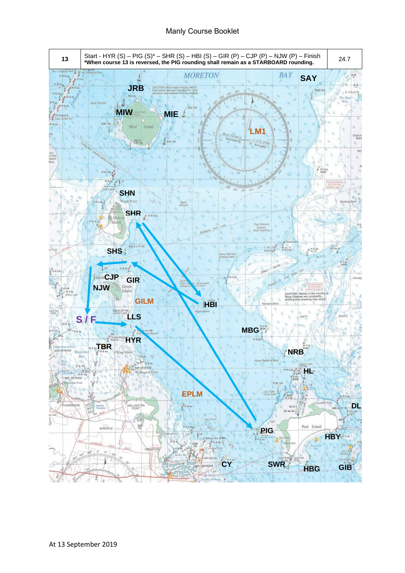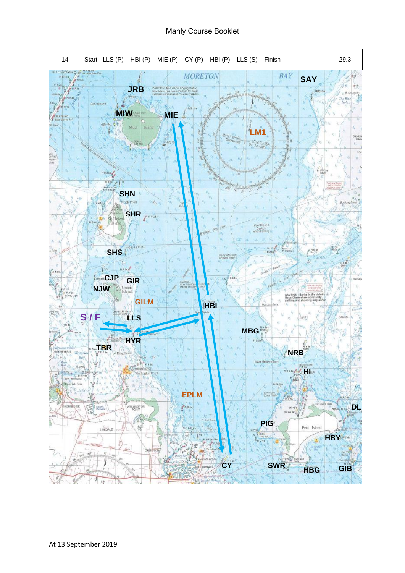### Manly Course Booklet

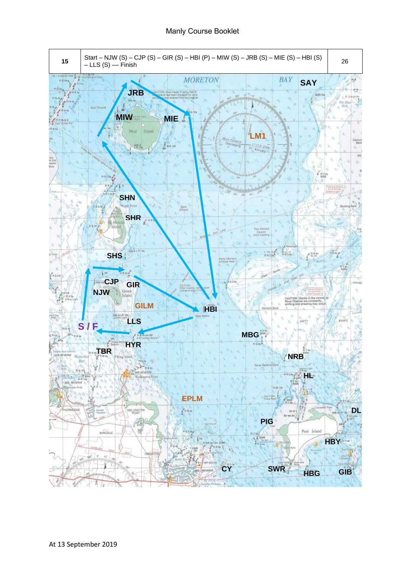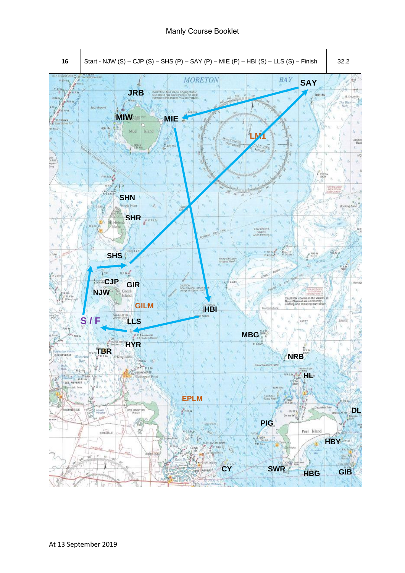Manly Course Booklet

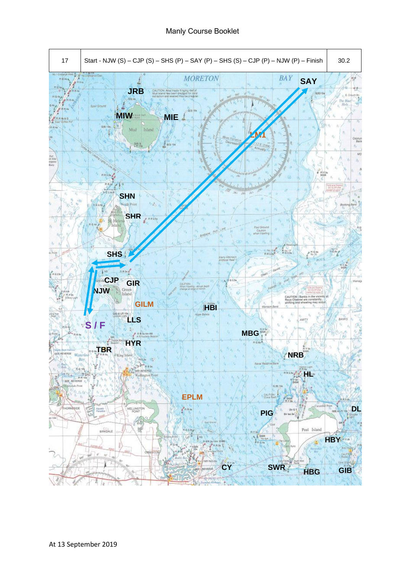Manly Course Booklet